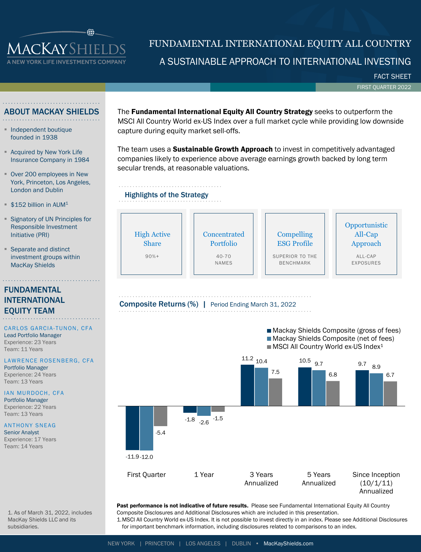

# A SUSTAINABLE APPROACH TO INTERNATIONAL INVESTING FUNDAMENTAL INTERNATIONAL EQUITY ALL COUNTRY

FACT SHEET

FIRST QUARTER 2022

## ABOUT MACKAY SHIELDS

- Independent boutique founded in 1938
- **E** Acquired by New York Life Insurance Company in 1984
- Over 200 employees in New York, Princeton, Los Angeles, London and Dublin
- $$152$  billion in AUM<sup>1</sup>
- **Example 1** Signatory of UN Principles for Responsible Investment Initiative (PRI)
- Separate and distinct investment groups within MacKay Shields

## FUNDAMENTAL INTERNATIONAL EQUITY TEAM

## CARLOS GARCIA-TUNON, CFA

Lead Portfolio Manager Experience: 23 Years Team: 11 Years

## LAWRENCE ROSENBERG, CFA

1. As of March 31, 2022, includes MacKay Shields LLC and its

Portfolio Manager Experience: 24 Years Team: 13 Years

IAN MURDOCH, CFA Portfolio Manager Experience: 22 Years Team: 13 Years

## **ANTHONY SNEAG**

Senior Analyst Experience: 17 Years Team: 14 Years

subsidiaries.

The **Fundamental International Equity All Country Strategy** seeks to outperform the MSCI All Country World ex-US Index over a full market cycle while providing low downside capture during equity market sell-offs.

The team uses a **Sustainable Growth Approach** to invest in competitively advantaged companies likely to experience above average earnings growth backed by long term secular trends, at reasonable valuations.

## Highlights of the Strategy







Past performance is not indicative of future results. Please see Fundamental International Equity All Country Composite Disclosures and Additional Disclosures which are included in this presentation.

1.MSCI All Country World ex-US Index. It is not possible to invest directly in an index. Please see Additional Disclosures for important benchmark information, including disclosures related to comparisons to an index.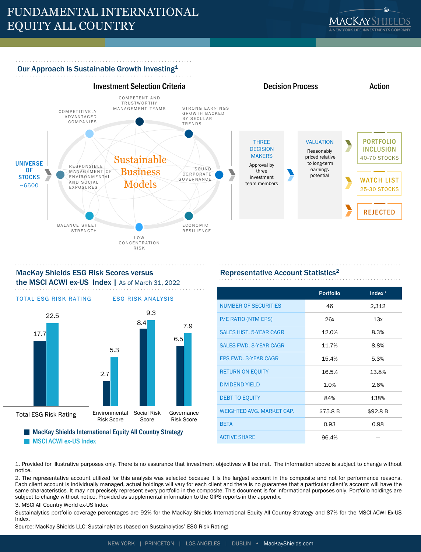# FUNDAMENTAL INTERNATIONAL EQUITY ALL COUNTRY



## Our Approach Is Sustainable Growth Investing<sup>1</sup>





## MacKay Shields ESG Risk Scores versus the MSCI ACWI ex-US Index | As of March 31, 2022



**MSCI ACWI ex-US Index** 

## Representative Account Statistics2

|                                  | <b>Portfolio</b> | Index <sup>3</sup> |
|----------------------------------|------------------|--------------------|
| <b>NUMBER OF SECURITIES</b>      | 46               | 2,312              |
| P/E RATIO (NTM EPS)              | 26x              | 13x                |
| <b>SALES HIST, 5-YEAR CAGR</b>   | 12.0%            | 8.3%               |
| <b>SALES FWD. 3-YEAR CAGR</b>    | 11.7%            | 8.8%               |
| <b>EPS FWD. 3-YEAR CAGR</b>      | 15.4%            | 5.3%               |
| <b>RETURN ON EQUITY</b>          | 16.5%            | 13.8%              |
| <b>DIVIDEND YIELD</b>            | 1.0%             | 2.6%               |
| <b>DEBT TO EQUITY</b>            | 84%              | 138%               |
| <b>WEIGHTED AVG. MARKET CAP.</b> | \$75.8 B         | \$92.8 B           |
| <b>RFTA</b>                      | 0.93             | 0.98               |
| <b>ACTIVE SHARE</b>              | 96.4%            |                    |

1. Provided for illustrative purposes only. There is no assurance that investment objectives will be met. The information above is subject to change without notice.

2. The representative account utilized for this analysis was selected because it is the largest account in the composite and not for performance reasons. Each client account is individually managed, actual holdings will vary for each client and there is no guarantee that a particular client's account will have the same characteristics. It may not precisely represent every portfolio in the composite. This document is for informational purposes only. Portfolio holdings are subject to change without notice. Provided as supplemental information to the GIPS reports in the appendix.

3. MSCI All Country World ex-US Index

Sustainalytics portfolio coverage percentages are 92% for the MacKay Shields International Equity All Country Strategy and 87% for the MSCI ACWI Ex-US Index.

Source: MacKay Shields LLC; Sustainalytics (based on Sustainalytics' ESG Risk Rating)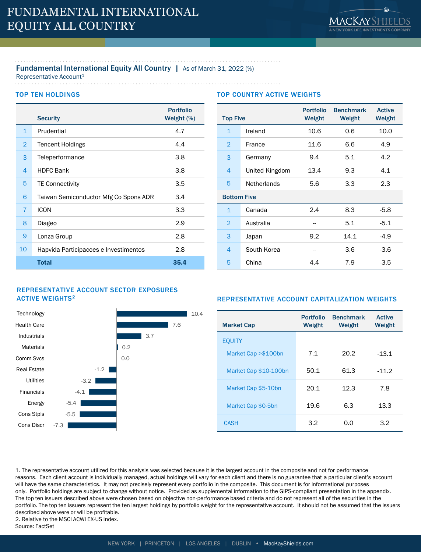## Fundamental International Equity All Country | As of March 31, 2022 (%)

Representative Account<sup>1</sup>

. . . . . . . . . . . . . . . . . . . .

## TOP TEN HOLDINGS

|                | <b>Security</b>                       | <b>Portfolio</b><br>Weight (%) |
|----------------|---------------------------------------|--------------------------------|
| $\mathbf{1}$   | Prudential                            | 4.7                            |
| $\overline{2}$ | <b>Tencent Holdings</b>               | 4.4                            |
| 3              | Teleperformance                       | 3.8                            |
| 4              | <b>HDFC Bank</b>                      | 3.8                            |
| 5              | <b>TE Connectivity</b>                | 3.5                            |
| 6              | Taiwan Semiconductor Mfg Co Spons ADR | 3.4                            |
| $\overline{7}$ | <b>ICON</b>                           | 3.3                            |
| 8              | Diageo                                | 2.9                            |
| 9              | Lonza Group                           | 2.8                            |
| 10             | Hapvida Participacoes e Investimentos | 2.8                            |
|                | <b>Total</b>                          | 35.4                           |

## TOP COUNTRY ACTIVE WEIGHTS

| <b>Top Five</b>    |                    | <b>Portfolio</b><br>Weight | <b>Benchmark</b><br>Weight | <b>Active</b><br>Weight |
|--------------------|--------------------|----------------------------|----------------------------|-------------------------|
| 1                  | Ireland            | 10.6                       | 0.6                        | 10.0                    |
| $\overline{2}$     | France             | 11.6                       | 6.6                        | 4.9                     |
| 3                  | Germany            | 9.4                        | 5.1                        | 4.2                     |
| 4                  | United Kingdom     | 13.4                       | 9.3                        | 4.1                     |
| 5                  | <b>Netherlands</b> | 5.6<br>3.3                 |                            | 2.3                     |
| <b>Bottom Five</b> |                    |                            |                            |                         |
| $\mathbf{1}$       | Canada             | 2.4                        | 8.3                        | $-5.8$                  |
| $\overline{2}$     | Australia          |                            | 5.1                        | $-5.1$                  |
| 3                  | Japan              | 9.2                        | 14.1                       | $-4.9$                  |
| 4                  | South Korea        |                            | 3.6                        | $-3.6$                  |
| 5                  | China              | 4.4                        | 7.9                        | $-3.5$                  |

## REPRESENTATIVE ACCOUNT SECTOR EXPOSURES **ACTIVE WEIGHTS<sup>2</sup>**



## REPRESENTATIVE ACCOUNT CAPITALIZATION WEIGHTS

| <b>Market Cap</b>     | <b>Portfolio</b><br>Weight | <b>Benchmark</b><br>Weight | <b>Active</b><br>Weight |
|-----------------------|----------------------------|----------------------------|-------------------------|
| <b>EOUITY</b>         |                            |                            |                         |
| Market Cap > \$100bn  | 7.1                        | 20.2                       | $-13.1$                 |
| Market Cap \$10-100bn | 50.1                       | 61.3                       | $-11.2$                 |
| Market Cap \$5-10bn   | 20.1                       | 12.3                       | 7.8                     |
| Market Cap \$0-5bn    | 19.6                       | 6.3                        | 13.3                    |
| <b>CASH</b>           | 3.2                        | O.O                        | 3.2                     |

1. The representative account utilized for this analysis was selected because it is the largest account in the composite and not for performance reasons. Each client account is individually managed, actual holdings will vary for each client and there is no guarantee that a particular client's account will have the same characteristics. It may not precisely represent every portfolio in the composite. This document is for informational purposes only. Portfolio holdings are subject to change without notice. Provided as supplemental information to the GIPS-compliant presentation in the appendix. The top ten issuers described above were chosen based on objective non-performance based criteria and do not represent all of the securities in the portfolio. The top ten issuers represent the ten largest holdings by portfolio weight for the representative account. It should not be assumed that the issuers described above were or will be profitable. 2. Relative to the MSCI ACWI EX-US Index.

Source: FactSet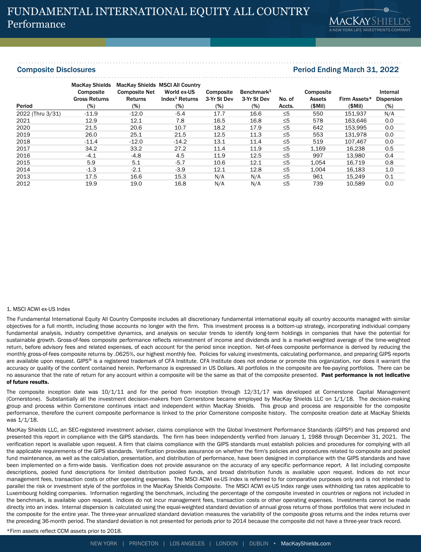## Composite Disclosures Period Ending March 31, 2022

| Period           | <b>MacKay Shields</b><br>Composite<br><b>Gross Returns</b> | <b>Composite Net</b><br><b>Returns</b> | <b>MacKay Shields MSCI All Country</b><br>World ex-US<br>Index <sup>1</sup> Returns | Composite<br>3-Yr St Dev | Benchmark <sup>1</sup><br>3-Yr St Dev | No. of   | Composite<br>Assets | Firm Assets*<br>(SMil) | Internal<br><b>Dispersion</b> |
|------------------|------------------------------------------------------------|----------------------------------------|-------------------------------------------------------------------------------------|--------------------------|---------------------------------------|----------|---------------------|------------------------|-------------------------------|
|                  | $(\%)$                                                     | $(\%)$                                 | $(\%)$                                                                              | $(\%)$                   | $(\%)$                                | Accts.   | $$$ Mil $)$         |                        | $(\%)$                        |
| 2022 (Thru 3/31) | $-11.9$                                                    | $-12.0$                                | $-5.4$                                                                              | 17.7                     | 16.6                                  | $\leq 5$ | 550                 | 151.937                | N/A                           |
| 2021             | 12.9                                                       | 12.1                                   | 7.8                                                                                 | 16.5                     | 16.8                                  | $\leq 5$ | 578                 | 163.646                | 0.0                           |
| 2020             | 21.5                                                       | 20.6                                   | 10.7                                                                                | 18.2                     | 17.9                                  | $\leq 5$ | 642                 | 153.995                | 0.0                           |
| 2019             | 26.0                                                       | 25.1                                   | 21.5                                                                                | 12.5                     | 11.3                                  | $\leq 5$ | 553                 | 131.978                | 0.0                           |
| 2018             | $-11.4$                                                    | $-12.0$                                | $-14.2$                                                                             | 13.1                     | 11.4                                  | $\leq 5$ | 519                 | 107.467                | 0.0                           |
| 2017             | 34.2                                                       | 33.2                                   | 27.2                                                                                | 11.4                     | 11.9                                  | $\leq 5$ | 1,169               | 16.238                 | 0.5                           |
| 2016             | $-4.1$                                                     | $-4.8$                                 | 4.5                                                                                 | 11.9                     | 12.5                                  | $\leq 5$ | 997                 | 13,980                 | 0.4                           |
| 2015             | 5.9                                                        | 5.1                                    | $-5.7$                                                                              | 10.6                     | 12.1                                  | $\leq 5$ | 1.054               | 16.719                 | 0.8                           |
| 2014             | $-1.3$                                                     | $-2.1$                                 | $-3.9$                                                                              | 12.1                     | 12.8                                  | $\leq 5$ | 1,004               | 16,183                 | 1.0                           |
| 2013             | 17.5                                                       | 16.6                                   | 15.3                                                                                | N/A                      | N/A                                   | $\leq 5$ | 961                 | 15.249                 | 0.1                           |
| 2012             | 19.9                                                       | 19.0                                   | 16.8                                                                                | N/A                      | N/A                                   | $\leq 5$ | 739                 | 10.589                 | 0.0                           |

#### 1. MSCI ACWI ex-US Index

The Fundamental International Equity All Country Composite includes all discretionary fundamental international equity all country accounts managed with similar objectives for a full month, including those accounts no longer with the firm. This investment process is a bottom-up strategy, incorporating individual company fundamental analysis, industry competitive dynamics, and analysis on secular trends to identify long-term holdings in companies that have the potential for sustainable growth. Gross-of-fees composite performance reflects reinvestment of income and dividends and is a market-weighted average of the time-weighted return, before advisory fees and related expenses, of each account for the period since inception. Net-of-fees composite performance is derived by reducing the monthly gross-of-fees composite returns by .0625%, our highest monthly fee. Policies for valuing investments, calculating performance, and preparing GIPS reports are available upon request. GIPS® is a registered trademark of CFA Institute. CFA Institute does not endorse or promote this organization, nor does it warrant the accuracy or quality of the content contained herein. Performance is expressed in US Dollars. All portfolios in the composite are fee-paying portfolios. There can be no assurance that the rate of return for any account within a composite will be the same as that of the composite presented. Past performance is not indicative of future results.

The composite inception date was 10/1/11 and for the period from inception through 12/31/17 was developed at Cornerstone Capital Management (Cornerstone). Substantially all the investment decision-makers from Cornerstone became employed by MacKay Shields LLC on 1/1/18. The decision-making group and process within Cornerstone continues intact and independent within MacKay Shields. This group and process are responsible for the composite performance, therefore the current composite performance is linked to the prior Cornerstone composite history. The composite creation date at MacKay Shields was 1/1/18.

MacKay Shields LLC, an SEC-registered investment adviser, claims compliance with the Global Investment Performance Standards (GIPS®) and has prepared and presented this report in compliance with the GIPS standards. The firm has been independently verified from January 1, 1988 through December 31, 2021. The verification report is available upon request. A firm that claims compliance with the GIPS standards must establish policies and procedures for complying with all the applicable requirements of the GIPS standards. Verification provides assurance on whether the firm's policies and procedures related to composite and pooled fund maintenance, as well as the calculation, presentation, and distribution of performance, have been designed in compliance with the GIPS standards and have been implemented on a firm-wide basis. Verification does not provide assurance on the accuracy of any specific performance report. A list including composite descriptions, pooled fund descriptions for limited distribution pooled funds, and broad distribution funds is available upon request. Indices do not incur management fees, transaction costs or other operating expenses. The MSCI ACWI ex-US Index is referred to for comparative purposes only and is not intended to parallel the risk or investment style of the portfolios in the MacKay Shields Composite. The MSCI ACWI ex-US Index range uses withholding tax rates applicable to Luxembourg holding companies. Information regarding the benchmark, including the percentage of the composite invested in countries or regions not included in the benchmark, is available upon request. Indices do not incur management fees, transaction costs or other operating expenses. Investments cannot be made directly into an index. Internal dispersion is calculated using the equal-weighted standard deviation of annual gross returns of those portfolios that were included in the composite for the entire year. The three-year annualized standard deviation measures the variability of the composite gross returns and the index returns over the preceding 36-month period. The standard deviation is not presented for periods prior to 2014 because the composite did not have a three-year track record.

\*Firm assets reflect CCM assets prior to 2018.